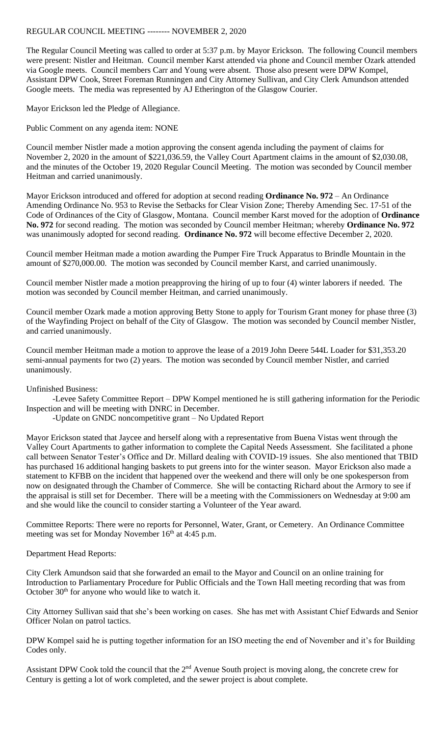## REGULAR COUNCIL MEETING -------- NOVEMBER 2, 2020

The Regular Council Meeting was called to order at 5:37 p.m. by Mayor Erickson. The following Council members were present: Nistler and Heitman. Council member Karst attended via phone and Council member Ozark attended via Google meets. Council members Carr and Young were absent. Those also present were DPW Kompel, Assistant DPW Cook, Street Foreman Runningen and City Attorney Sullivan, and City Clerk Amundson attended Google meets. The media was represented by AJ Etherington of the Glasgow Courier.

Mayor Erickson led the Pledge of Allegiance.

Public Comment on any agenda item: NONE

Council member Nistler made a motion approving the consent agenda including the payment of claims for November 2, 2020 in the amount of \$221,036.59, the Valley Court Apartment claims in the amount of \$2,030.08, and the minutes of the October 19, 2020 Regular Council Meeting. The motion was seconded by Council member Heitman and carried unanimously.

Mayor Erickson introduced and offered for adoption at second reading **Ordinance No. 972** – An Ordinance Amending Ordinance No. 953 to Revise the Setbacks for Clear Vision Zone; Thereby Amending Sec. 17-51 of the Code of Ordinances of the City of Glasgow, Montana. Council member Karst moved for the adoption of **Ordinance No. 972** for second reading. The motion was seconded by Council member Heitman; whereby **Ordinance No. 972** was unanimously adopted for second reading. **Ordinance No. 972** will become effective December 2, 2020.

Council member Heitman made a motion awarding the Pumper Fire Truck Apparatus to Brindle Mountain in the amount of \$270,000.00. The motion was seconded by Council member Karst, and carried unanimously.

Council member Nistler made a motion preapproving the hiring of up to four (4) winter laborers if needed. The motion was seconded by Council member Heitman, and carried unanimously.

Council member Ozark made a motion approving Betty Stone to apply for Tourism Grant money for phase three (3) of the Wayfinding Project on behalf of the City of Glasgow. The motion was seconded by Council member Nistler, and carried unanimously.

Council member Heitman made a motion to approve the lease of a 2019 John Deere 544L Loader for \$31,353.20 semi-annual payments for two (2) years. The motion was seconded by Council member Nistler, and carried unanimously.

## Unfinished Business:

-Levee Safety Committee Report – DPW Kompel mentioned he is still gathering information for the Periodic Inspection and will be meeting with DNRC in December.

-Update on GNDC noncompetitive grant – No Updated Report

Mayor Erickson stated that Jaycee and herself along with a representative from Buena Vistas went through the Valley Court Apartments to gather information to complete the Capital Needs Assessment. She facilitated a phone call between Senator Tester's Office and Dr. Millard dealing with COVID-19 issues. She also mentioned that TBID has purchased 16 additional hanging baskets to put greens into for the winter season. Mayor Erickson also made a statement to KFBB on the incident that happened over the weekend and there will only be one spokesperson from now on designated through the Chamber of Commerce. She will be contacting Richard about the Armory to see if the appraisal is still set for December. There will be a meeting with the Commissioners on Wednesday at 9:00 am and she would like the council to consider starting a Volunteer of the Year award.

Committee Reports: There were no reports for Personnel, Water, Grant, or Cemetery. An Ordinance Committee meeting was set for Monday November  $16<sup>th</sup>$  at 4:45 p.m.

## Department Head Reports:

City Clerk Amundson said that she forwarded an email to the Mayor and Council on an online training for Introduction to Parliamentary Procedure for Public Officials and the Town Hall meeting recording that was from October 30<sup>th</sup> for anyone who would like to watch it.

City Attorney Sullivan said that she's been working on cases. She has met with Assistant Chief Edwards and Senior Officer Nolan on patrol tactics.

DPW Kompel said he is putting together information for an ISO meeting the end of November and it's for Building Codes only.

Assistant DPW Cook told the council that the  $2<sup>nd</sup>$  Avenue South project is moving along, the concrete crew for Century is getting a lot of work completed, and the sewer project is about complete.